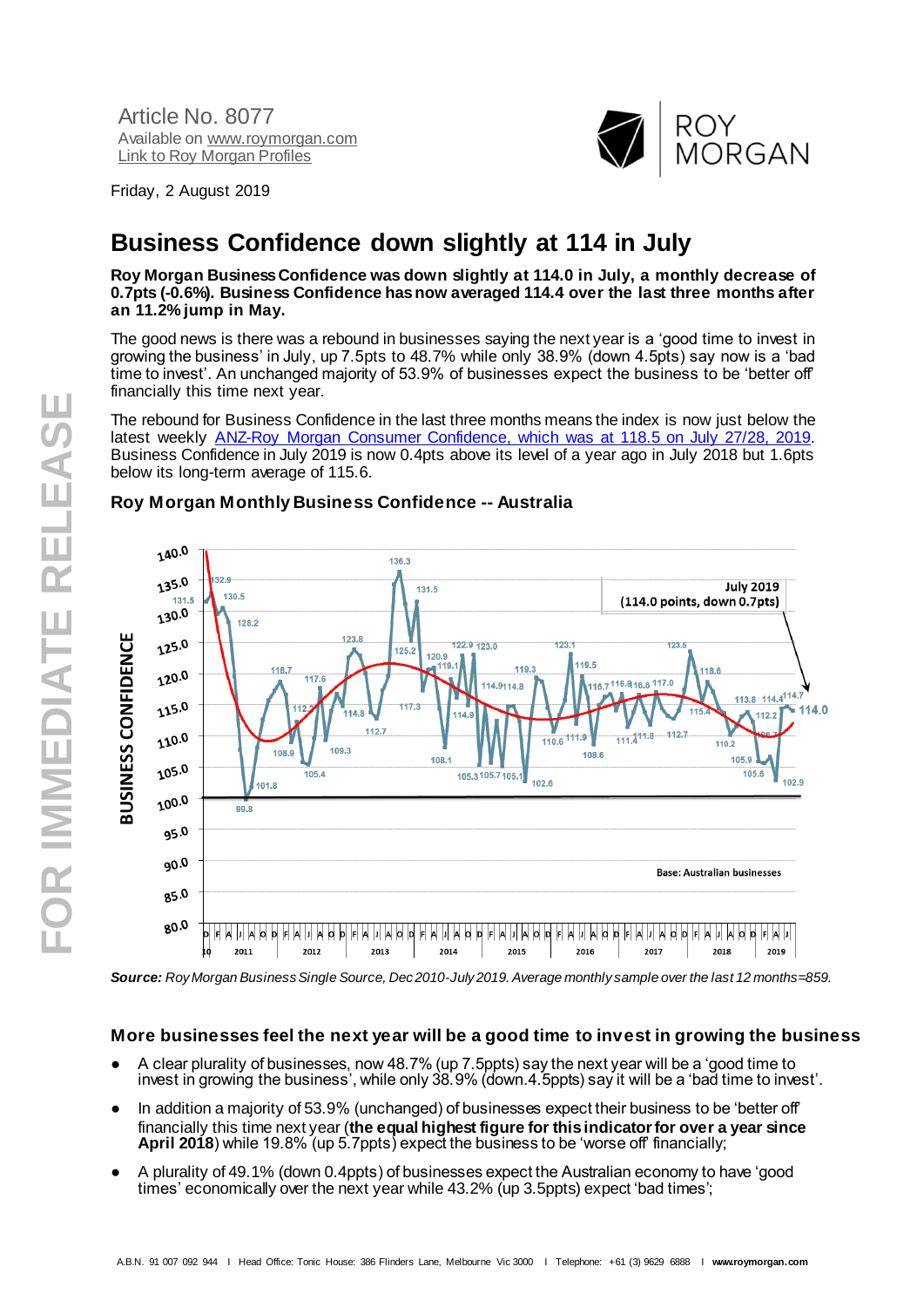

Friday, 2 August 2019

# **Business Confidence down slightly at 114 in July**

**Roy Morgan Business Confidence was down slightly at 114.0 in July, a monthly decrease of 0.7pts (-0.6%). Business Confidence has now averaged 114.4 over the last three months after an 11.2% jump in May.**

The good news is there was a rebound in businesses saying the next year is a 'good time to invest in growing the business' in July, up 7.5pts to 48.7% while only 38.9% (down 4.5pts) say now is a 'bad time to invest'. An unchanged majority of 53.9% of businesses expect the business to be 'better off' financially this time next year.

The rebound for Business Confidence in the last three months means the index is now just below the latest weekl[y ANZ-Roy Morgan Consumer Confidence, which was at 118.5 on July](http://www.roymorgan.com/findings/8008-anz-roy-morgan-consumer-confidence-up-to-118point5-201907300015) 27/28, 2019. Business Confidence in July 2019 is now 0.4pts above its level of a year ago in July 2018 but 1.6pts below its long-term average of 115.6.



# **Roy Morgan Monthly Business Confidence -- Australia**

*Source: Roy Morgan Business Single Source, Dec 2010-July 2019. Average monthly sample over the last 12 months=859.*

## **More businesses feel the next year will be a good time to invest in growing the business**

- A clear plurality of businesses, now 48.7% (up 7.5ppts) say the next year will be a 'good time to invest in growing the business', while only 38.9% (down.4.5ppts) say it will be a 'bad time to invest'.
- In addition a majority of 53.9% (unchanged) of businesses expect their business to be 'better off' financially this time next year (**the equal highest figure for this indicator for over a year since April 2018**) while 19.8% (up 5.7ppts) expect the business to be 'worse off' financially;
- A plurality of 49.1% (down 0.4ppts) of businesses expect the Australian economy to have 'good times' economically over the next year while 43.2% (up 3.5ppts) expect 'bad times';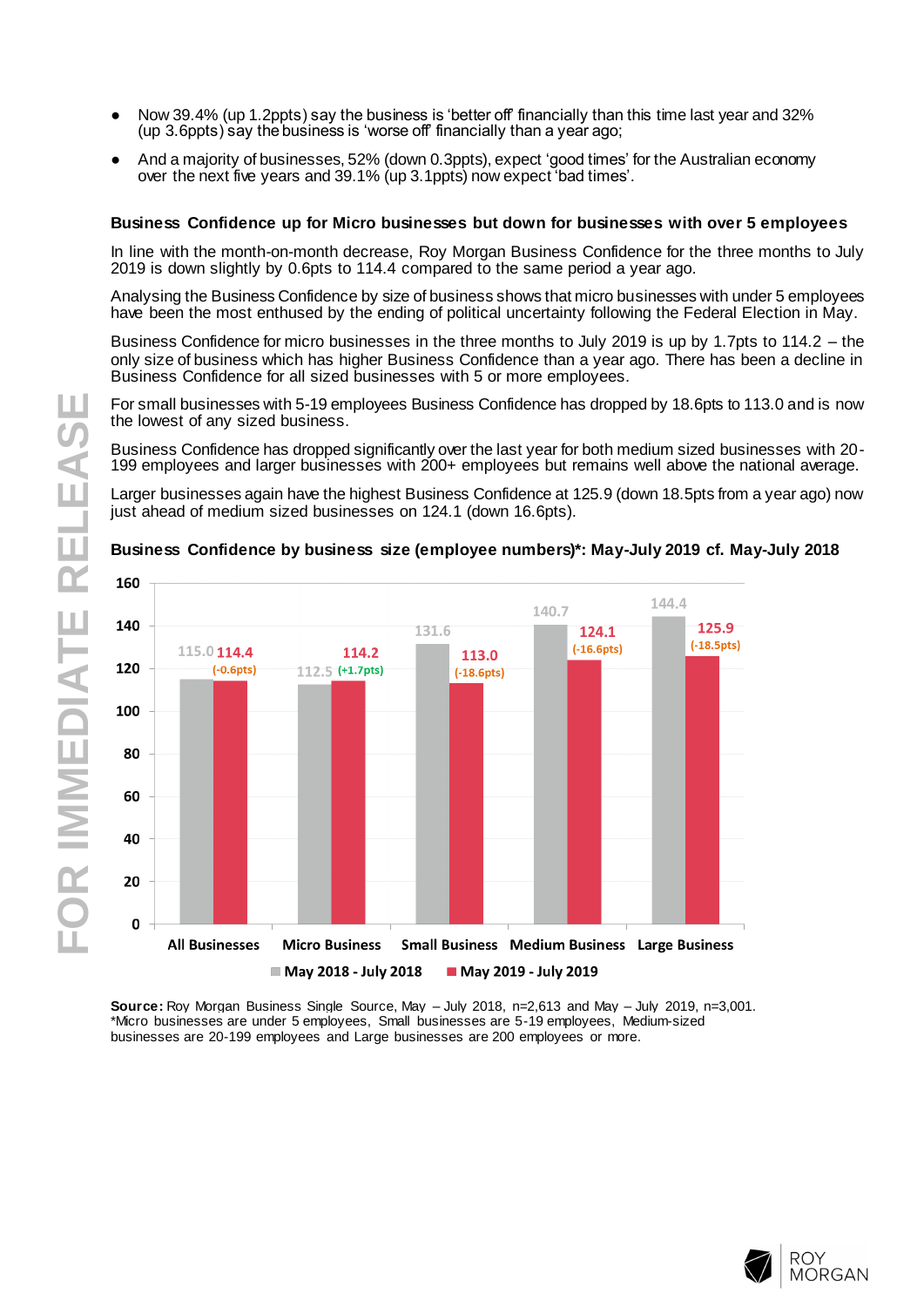- Now 39.4% (up 1.2ppts) say the business is 'better off' financially than this time last year and 32% (up 3.6ppts) say the business is 'worse off' financially than a year ago;
- And a majority of businesses, 52% (down 0.3ppts), expect 'good times' for the Australian economy over the next five years and 39.1% (up 3.1ppts) now expect 'bad times'.

#### **Business Confidence up for Micro businesses but down for businesses with over 5 employees**

In line with the month-on-month decrease, Roy Morgan Business Confidence for the three months to July 2019 is down slightly by 0.6pts to 114.4 compared to the same period a year ago.

Analysing the Business Confidence by size of business shows that micro businesses with under 5 employees have been the most enthused by the ending of political uncertainty following the Federal Election in May.

Business Confidence for micro businesses in the three months to July 2019 is up by 1.7pts to 114.2 – the only size of business which has higher Business Confidence than a year ago. There has been a decline in Business Confidence for all sized businesses with 5 or more employees.

For small businesses with 5-19 employees Business Confidence has dropped by 18.6pts to 113.0 and is now the lowest of any sized business.

Business Confidence has dropped significantly over the last year for both medium sized businesses with 20- 199 employees and larger businesses with 200+ employees but remains well above the national average.

Larger businesses again have the highest Business Confidence at 125.9 (down 18.5pts from a year ago) now just ahead of medium sized businesses on 124.1 (down 16.6pts).



#### **Business Confidence by business size (employee numbers)\*: May-July 2019 cf. May-July 2018**

**Source:** Roy Morgan Business Single Source, May – July 2018, n=2,613 and May – July 2019, n=3,001. \*Micro businesses are under 5 employees, Small businesses are 5-19 employees, Medium-sized businesses are 20-199 employees and Large businesses are 200 employees or more.



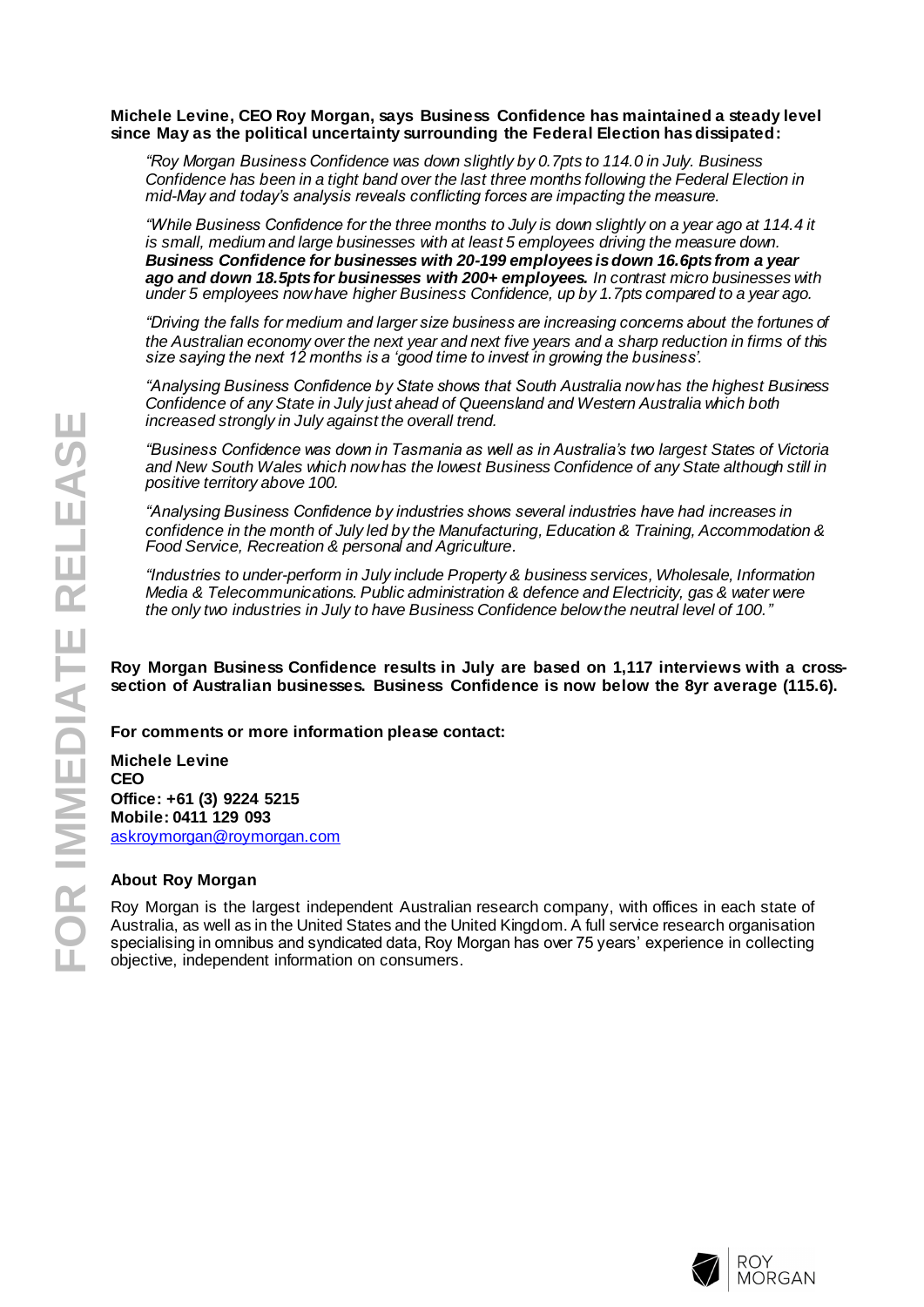#### **Michele Levine, CEO Roy Morgan, says Business Confidence has maintained a steady level since May as the political uncertainty surrounding the Federal Election has dissipated:**

*"Roy Morgan Business Confidence was down slightly by 0.7pts to 114.0 in July. Business Confidence has been in a tight band over the last three months following the Federal Election in mid-May and today's analysis reveals conflicting forces are impacting the measure.*

*"While Business Confidence for the three months to July is down slightly on a year ago at 114.4 it is small, medium and large businesses with at least 5 employees driving the measure down. Business Confidence for businesses with 20-199 employees is down 16.6pts from a year ago and down 18.5pts for businesses with 200+ employees. In contrast micro businesses with under 5 employees now have higher Business Confidence, up by 1.7pts compared to a year ago.*

*"Driving the falls for medium and larger size business are increasing concerns about the fortunes of the Australian economy over the next year and next five years and a sharp reduction in firms of this size saying the next 12 months is a 'good time to invest in growing the business'.*

*"Analysing Business Confidence by State shows that South Australia now has the highest Business Confidence of any State in July just ahead of Queensland and Western Australia which both increased strongly in July against the overall trend.*

*"Business Confidence was down in Tasmania as well as in Australia's two largest States of Victoria and New South Wales which now has the lowest Business Confidence of any State although still in positive territory above 100.*

*"Analysing Business Confidence by industries shows several industries have had increases in confidence in the month of July led by the Manufacturing, Education & Training, Accommodation & Food Service, Recreation & personal and Agriculture.*

*"Industries to under-perform in July include Property & business services, Wholesale, Information Media & Telecommunications. Public administration & defence and Electricity, gas & water were the only two industries in July to have Business Confidence below the neutral level of 100."*

**Roy Morgan Business Confidence results in July are based on 1,117 interviews with a crosssection of Australian businesses. Business Confidence is now below the 8yr average (115.6).**

**For comments or more information please contact:**

**Michele Levine CEO Office: +61 (3) 9224 5215 Mobile: 0411 129 093** [askroymorgan@roymorgan.com](mailto:askroymorgan@roymorgan.com)

## **About Roy Morgan**

Roy Morgan is the largest independent Australian research company, with offices in each state of Australia, as well as in the United States and the United Kingdom. A full service research organisation specialising in omnibus and syndicated data, Roy Morgan has over 75 years' experience in collecting objective, independent information on consumers.